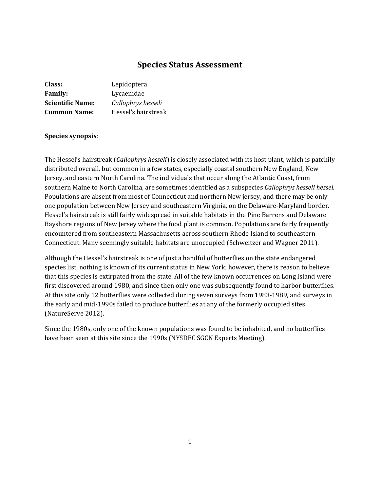# **Species Status Assessment**

| Class:<br>Lepidoptera   |                     |
|-------------------------|---------------------|
| <b>Family:</b>          | Lycaenidae          |
| <b>Scientific Name:</b> | Callophrys hesseli  |
| <b>Common Name:</b>     | Hessel's hairstreak |

### **Species synopsis**:

The Hessel's hairstreak (*Callophrys hesseli*) is closely associated with its host plant, which is patchily distributed overall, but common in a few states, especially coastal southern New England, New Jersey, and eastern North Carolina. The individuals that occur along the Atlantic Coast, from southern Maine to North Carolina, are sometimes identified as a subspecies *Callophrys hesseli hessel.*  Populations are absent from most of Connecticut and northern New jersey, and there may be only one population between New Jersey and southeastern Virginia, on the Delaware-Maryland border. Hessel's hairstreak is still fairly widespread in suitable habitats in the Pine Barrens and Delaware Bayshore regions of New Jersey where the food plant is common. Populations are fairly frequently encountered from southeastern Massachusetts across southern Rhode Island to southeastern Connecticut. Many seemingly suitable habitats are unoccupied (Schweitzer and Wagner 2011).

Although the Hessel's hairstreak is one of just a handful of butterflies on the state endangered species list, nothing is known of its current status in New York; however, there is reason to believe that this species is extirpated from the state. All of the few known occurrences on Long Island were first discovered around 1980, and since then only one was subsequently found to harbor butterflies. At this site only 12 butterflies were collected during seven surveys from 1983-1989, and surveys in the early and mid-1990s failed to produce butterflies at any of the formerly occupied sites (NatureServe 2012).

Since the 1980s, only one of the known populations was found to be inhabited, and no butterflies have been seen at this site since the 1990s (NYSDEC SGCN Experts Meeting).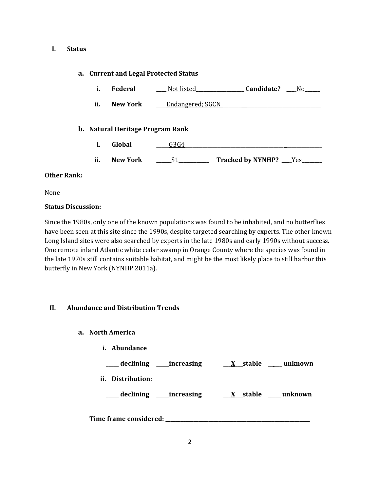#### **I. Status**

#### **a. Current and Legal Protected Status**

|  | Federal | Not listed | Candidate? |  |
|--|---------|------------|------------|--|
|--|---------|------------|------------|--|

**ii. New York Lear Endangered**; SGCN

#### **b. Natural Heritage Program Rank**

- **i. Global \_\_\_\_\_**G3G4**\_\_\_\_\_\_\_\_\_\_\_\_\_\_\_\_\_\_\_\_\_\_\_\_\_\_\_\_\_\_\_\_\_\_\_\_\_\_\_ \_\_\_\_\_\_\_\_\_\_\_\_\_\_**
- **ii. New York \_\_\_\_\_\_**S1**\_\_\_\_\_\_\_\_\_\_\_\_ Tracked by NYNHP? \_\_\_**\_Yes**\_\_\_\_\_\_\_\_**

#### **Other Rank:**

None

#### **Status Discussion:**

Since the 1980s, only one of the known populations was found to be inhabited, and no butterflies have been seen at this site since the 1990s, despite targeted searching by experts. The other known Long Island sites were also searched by experts in the late 1980s and early 1990s without success. One remote inland Atlantic white cedar swamp in Orange County where the species was found in the late 1970s still contains suitable habitat, and might be the most likely place to still harbor this butterfly in New York (NYNHP 2011a).

#### **II. Abundance and Distribution Trends**

- **a. North America**
	- **i. Abundance**

**\_\_\_\_\_ declining \_\_\_\_\_increasing \_\_\_X\_\_\_stable \_\_ \_\_\_ unknown**

**ii. Distribution:**

**\_\_\_\_\_ declining \_\_\_\_\_increasing \_\_\_X\_\_\_stable \_\_\_\_\_ unknown**

**Time frame considered: \_\_\_\_\_\_\_\_\_\_\_\_\_\_\_\_\_\_\_\_\_\_\_\_\_\_\_\_\_\_\_\_\_\_\_\_\_\_\_\_\_\_\_\_\_\_\_\_\_\_\_\_\_\_\_\_\_**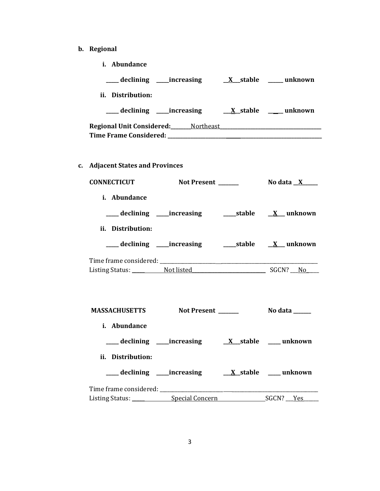**b. Regional** 

| ii. Distribution:<br>Regional Unit Considered: Mortheast Manual Museum and Discover Manual Museum and Discover Manual Museum and Di<br>c. Adjacent States and Provinces<br><b>CONNECTICUT</b><br>i. Abundance<br>___ declining ____increasing ___________stable ____ <u>X__</u> _ unknown<br>ii. Distribution:<br><b>MASSACHUSETTS</b><br>Not Present ______<br>No data $\_\_\_\_\_\_\_\_\_\_\_\$<br>i. Abundance<br>ii. Distribution: | i. Abundance |  |
|----------------------------------------------------------------------------------------------------------------------------------------------------------------------------------------------------------------------------------------------------------------------------------------------------------------------------------------------------------------------------------------------------------------------------------------|--------------|--|
|                                                                                                                                                                                                                                                                                                                                                                                                                                        |              |  |
|                                                                                                                                                                                                                                                                                                                                                                                                                                        |              |  |
|                                                                                                                                                                                                                                                                                                                                                                                                                                        |              |  |
|                                                                                                                                                                                                                                                                                                                                                                                                                                        |              |  |
|                                                                                                                                                                                                                                                                                                                                                                                                                                        |              |  |
|                                                                                                                                                                                                                                                                                                                                                                                                                                        |              |  |
|                                                                                                                                                                                                                                                                                                                                                                                                                                        |              |  |
|                                                                                                                                                                                                                                                                                                                                                                                                                                        |              |  |
|                                                                                                                                                                                                                                                                                                                                                                                                                                        |              |  |
|                                                                                                                                                                                                                                                                                                                                                                                                                                        |              |  |
|                                                                                                                                                                                                                                                                                                                                                                                                                                        |              |  |
|                                                                                                                                                                                                                                                                                                                                                                                                                                        |              |  |
|                                                                                                                                                                                                                                                                                                                                                                                                                                        |              |  |
|                                                                                                                                                                                                                                                                                                                                                                                                                                        |              |  |
|                                                                                                                                                                                                                                                                                                                                                                                                                                        |              |  |
|                                                                                                                                                                                                                                                                                                                                                                                                                                        |              |  |
|                                                                                                                                                                                                                                                                                                                                                                                                                                        |              |  |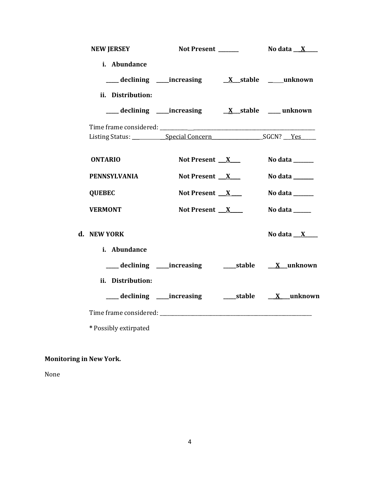| <b>NEW JERSEY</b>           | Not Present ______                        | No data $\_\,\_\,\,X$ $\_\,\_\,\,$                                          |
|-----------------------------|-------------------------------------------|-----------------------------------------------------------------------------|
| i. Abundance                |                                           |                                                                             |
|                             | declining increasing X stable ____unknown |                                                                             |
| ii. Distribution:           |                                           |                                                                             |
|                             |                                           |                                                                             |
|                             |                                           |                                                                             |
|                             |                                           |                                                                             |
| <b>ONTARIO</b>              | Not Present $X$                           | No data $\frac{1}{\sqrt{1-\frac{1}{2}}\cdot\frac{1}{\sqrt{1-\frac{1}{2}}}}$ |
| <b>PENNSYLVANIA</b>         | Not Present $X$                           | No data ______                                                              |
| <b>QUEBEC</b>               | Not Present X                             | No data ______                                                              |
| <b>VERMONT</b>              | Not Present $X$                           | No data $\_\_\_\_\_\_\_\_\_\_\_\$                                           |
| d. NEW YORK<br>i. Abundance |                                           | No data $X$                                                                 |
|                             |                                           |                                                                             |
| ii. Distribution:           |                                           | ___ declining ____increasing ______stable _____X __unknown                  |
|                             |                                           |                                                                             |
| * Possibly extirpated       |                                           |                                                                             |

# **Monitoring in New York.**

None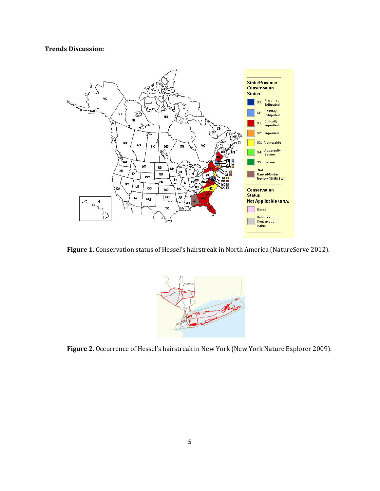# **Trends Discussion:**



**Figure 1**. Conservation status of Hessel's hairstreak in North America (NatureServe 2012).



**Figure 2**. Occurrence of Hessel's hairstreak in New York (New York Nature Explorer 2009).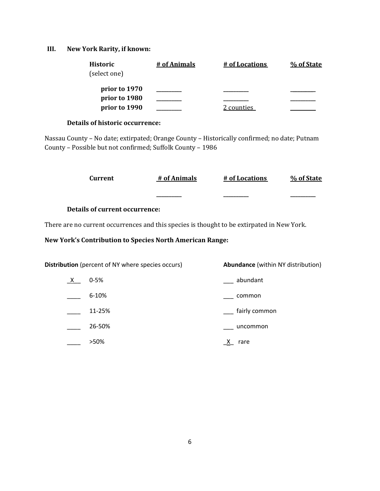# **III. New York Rarity, if known:**

| Historic<br>(select one)       | # of Animals | # of Locations | % of State |
|--------------------------------|--------------|----------------|------------|
|                                |              |                |            |
| prior to 1970<br>prior to 1980 |              |                |            |
|                                |              |                |            |
| prior to 1990                  |              | 2 counties     |            |

# **Details of historic occurrence:**

Nassau County – No date; extirpated; Orange County – Historically confirmed; no date; Putnam County – Possible but not confirmed; Suffolk County – 1986

|         | Current                                                                                    | # of Animals | # of Locations                            | % of State |
|---------|--------------------------------------------------------------------------------------------|--------------|-------------------------------------------|------------|
|         |                                                                                            |              |                                           |            |
|         | Details of current occurrence:                                                             |              |                                           |            |
|         | There are no current occurrences and this species is thought to be extirpated in New York. |              |                                           |            |
|         | <b>New York's Contribution to Species North American Range:</b>                            |              |                                           |            |
|         |                                                                                            |              |                                           |            |
|         | Distribution (percent of NY where species occurs)                                          |              | <b>Abundance</b> (within NY distribution) |            |
| $X_{-}$ | $0 - 5%$                                                                                   |              | abundant                                  |            |
|         | $6 - 10%$                                                                                  |              | common                                    |            |
|         | 11-25%                                                                                     |              | fairly common                             |            |

| 26-50% |  | uncommon |
|--------|--|----------|
|        |  |          |

| >50% | X.<br>rare |
|------|------------|
|      |            |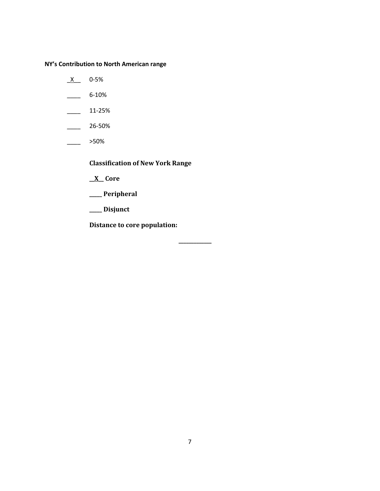**NY's Contribution to North American range**

- $X$  0-5%
- $\frac{6-10\%}{2}$
- $\frac{11-25\%}{2}$
- $\frac{26-50\%}{26}$
- \_\_\_\_ >50%

**Classification of New York Range**

- **\_\_X\_\_ Core**
- **\_\_\_\_\_ Peripheral**
- **\_\_\_\_\_ Disjunct**

**Distance to core population:**

**\_\_\_\_\_\_\_\_\_\_\_\_\_**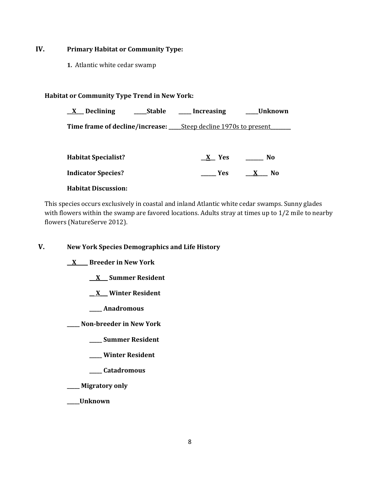# **IV. Primary Habitat or Community Type:**

**1.** Atlantic white cedar swamp

## **Habitat or Community Type Trend in New York:**

| _Declining                 | Stable | _Increasing                                                                 | Unknown |
|----------------------------|--------|-----------------------------------------------------------------------------|---------|
|                            |        | <b>Time frame of decline/increase:</b> ______Steep decline 1970s to present |         |
|                            |        |                                                                             |         |
| <b>Habitat Specialist?</b> |        | X Yes                                                                       | No      |

# **Indicator Species? \_\_\_\_\_\_ Yes \_\_\_X\_\_\_\_ No**

## **Habitat Discussion:**

This species occurs exclusively in coastal and inland Atlantic white cedar swamps. Sunny glades with flowers within the swamp are favored locations. Adults stray at times up to 1/2 mile to nearby flowers (NatureServe 2012).

**V. New York Species Demographics and Life History**

**\_\_X \_\_\_\_ Breeder in New York**

**\_\_ X\_\_\_ Summer Resident**

**\_\_ X\_\_\_ Winter Resident**

**\_\_\_\_\_ Anadromous**

**\_\_\_\_\_ Non-breeder in New York**

**\_\_\_\_\_ Summer Resident**

**\_\_\_\_\_ Winter Resident**

**\_\_\_\_\_ Catadromous**

**\_\_\_\_\_ Migratory only**

**\_\_\_\_\_Unknown**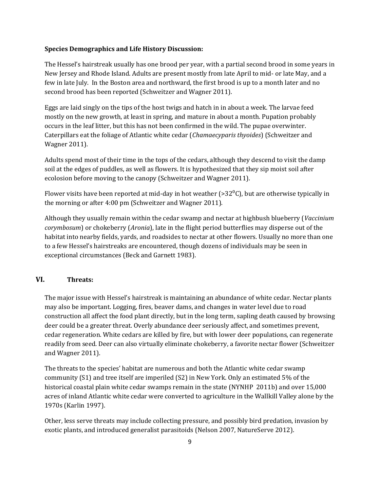#### **Species Demographics and Life History Discussion:**

The Hessel's hairstreak usually has one brood per year, with a partial second brood in some years in New Jersey and Rhode Island. Adults are present mostly from late April to mid- or late May, and a few in late July. In the Boston area and northward, the first brood is up to a month later and no second brood has been reported (Schweitzer and Wagner 2011).

Eggs are laid singly on the tips of the host twigs and hatch in in about a week. The larvae feed mostly on the new growth, at least in spring, and mature in about a month. Pupation probably occurs in the leaf litter, but this has not been confirmed in the wild. The pupae overwinter. Caterpillars eat the foliage of Atlantic white cedar (*Chamaecyparis thyoides*) (Schweitzer and Wagner 2011).

Adults spend most of their time in the tops of the cedars, although they descend to visit the damp soil at the edges of puddles, as well as flowers. It is hypothesized that they sip moist soil after ecolosion before moving to the canopy (Schweitzer and Wagner 2011).

Flower visits have been reported at mid-day in hot weather (>32 $^{\circ}$ C), but are otherwise typically in the morning or after 4:00 pm (Schweitzer and Wagner 2011).

Although they usually remain within the cedar swamp and nectar at highbush blueberry (*Vaccinium corymbosum*) or chokeberry (*Aronia*), late in the flight period butterflies may disperse out of the habitat into nearby fields, yards, and roadsides to nectar at other flowers. Usually no more than one to a few Hessel's hairstreaks are encountered, though dozens of individuals may be seen in exceptional circumstances (Beck and Garnett 1983).

# **VI. Threats:**

The major issue with Hessel's hairstreak is maintaining an abundance of white cedar. Nectar plants may also be important. Logging, fires, beaver dams, and changes in water level due to road construction all affect the food plant directly, but in the long term, sapling death caused by browsing deer could be a greater threat. Overly abundance deer seriously affect, and sometimes prevent, cedar regeneration. White cedars are killed by fire, but with lower deer populations, can regenerate readily from seed. Deer can also virtually eliminate chokeberry, a favorite nectar flower (Schweitzer and Wagner 2011).

The threats to the species' habitat are numerous and both the Atlantic white cedar swamp community (S1) and tree itself are imperiled (S2) in New York. Only an estimated 5% of the historical coastal plain white cedar swamps remain in the state (NYNHP 2011b) and over 15,000 acres of inland Atlantic white cedar were converted to agriculture in the Wallkill Valley alone by the 1970s (Karlin 1997).

Other, less serve threats may include collecting pressure, and possibly bird predation, invasion by exotic plants, and introduced generalist parasitoids (Nelson 2007, NatureServe 2012).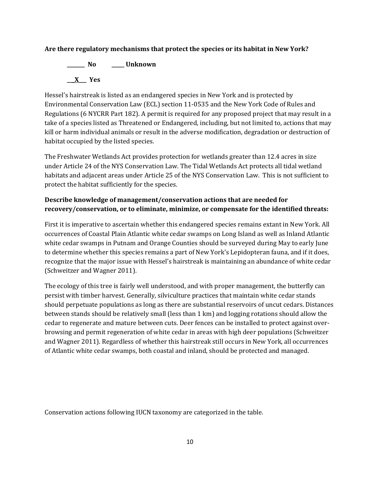## **Are there regulatory mechanisms that protect the species or its habitat in New York?**

**\_\_\_\_\_\_\_ No \_\_\_\_\_ Unknown \_\_\_X\_\_\_ Yes** 

Hessel's hairstreak is listed as an endangered species in New York and is protected by Environmental Conservation Law (ECL) section 11-0535 and the New York Code of Rules and Regulations (6 NYCRR Part 182). A permit is required for any proposed project that may result in a take of a species listed as Threatened or Endangered, including, but not limited to, actions that may kill or harm individual animals or result in the adverse modification, degradation or destruction of habitat occupied by the listed species.

The Freshwater Wetlands Act provides protection for wetlands greater than 12.4 acres in size under Article 24 of the NYS Conservation Law. The Tidal Wetlands Act protects all tidal wetland habitats and adjacent areas under Article 25 of the NYS Conservation Law. This is not sufficient to protect the habitat sufficiently for the species.

# **Describe knowledge of management/conservation actions that are needed for recovery/conservation, or to eliminate, minimize, or compensate for the identified threats:**

First it is imperative to ascertain whether this endangered species remains extant in New York. All occurrences of Coastal Plain Atlantic white cedar swamps on Long Island as well as Inland Atlantic white cedar swamps in Putnam and Orange Counties should be surveyed during May to early June to determine whether this species remains a part of New York's Lepidopteran fauna, and if it does, recognize that the major issue with Hessel's hairstreak is maintaining an abundance of white cedar (Schweitzer and Wagner 2011).

The ecology of this tree is fairly well understood, and with proper management, the butterfly can persist with timber harvest. Generally, silviculture practices that maintain white cedar stands should perpetuate populations as long as there are substantial reservoirs of uncut cedars. Distances between stands should be relatively small (less than 1 km) and logging rotations should allow the cedar to regenerate and mature between cuts. Deer fences can be installed to protect against overbrowsing and permit regeneration of white cedar in areas with high deer populations (Schweitzer and Wagner 2011). Regardless of whether this hairstreak still occurs in New York, all occurrences of Atlantic white cedar swamps, both coastal and inland, should be protected and managed.

Conservation actions following IUCN taxonomy are categorized in the table.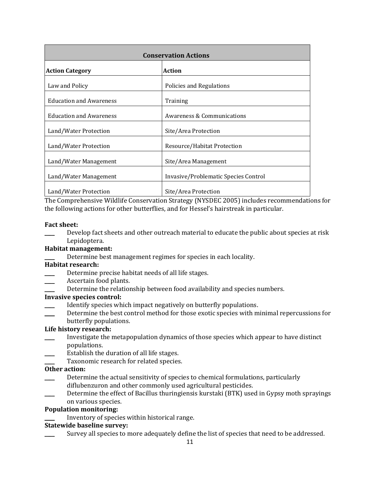| <b>Conservation Actions</b>             |                                      |  |
|-----------------------------------------|--------------------------------------|--|
| <b>Action</b><br><b>Action Category</b> |                                      |  |
| Law and Policy                          | Policies and Regulations             |  |
| <b>Education and Awareness</b>          | Training                             |  |
| <b>Education and Awareness</b>          | Awareness & Communications           |  |
| Land/Water Protection                   | Site/Area Protection                 |  |
| Land/Water Protection                   | Resource/Habitat Protection          |  |
| Land/Water Management                   | Site/Area Management                 |  |
| Land/Water Management                   | Invasive/Problematic Species Control |  |
| Land/Water Protection                   | Site/Area Protection                 |  |

The Comprehensive Wildlife Conservation Strategy (NYSDEC 2005) includes recommendations for the following actions for other butterflies, and for Hessel's hairstreak in particular.

#### **Fact sheet:**

Develop fact sheets and other outreach material to educate the public about species at risk Lepidoptera.

## **Habitat management:**

Determine best management regimes for species in each locality.

#### **Habitat research:**

- Determine precise habitat needs of all life stages.
- Ascertain food plants.
- Determine the relationship between food availability and species numbers.

## **Invasive species control:**

- Identify species which impact negatively on butterfly populations.
- Determine the best control method for those exotic species with minimal repercussions for butterfly populations.

# **Life history research:**

- \_\_\_\_ Investigate the metapopulation dynamics of those species which appear to have distinct populations.
- Establish the duration of all life stages.
- Taxonomic research for related species.

#### **Other action:**

- Determine the actual sensitivity of species to chemical formulations, particularly diflubenzuron and other commonly used agricultural pesticides.
- Determine the effect of Bacillus thuringiensis kurstaki (BTK) used in Gypsy moth sprayings on various species.

### **Population monitoring:**

Inventory of species within historical range.

## **Statewide baseline survey:**

Survey all species to more adequately define the list of species that need to be addressed.